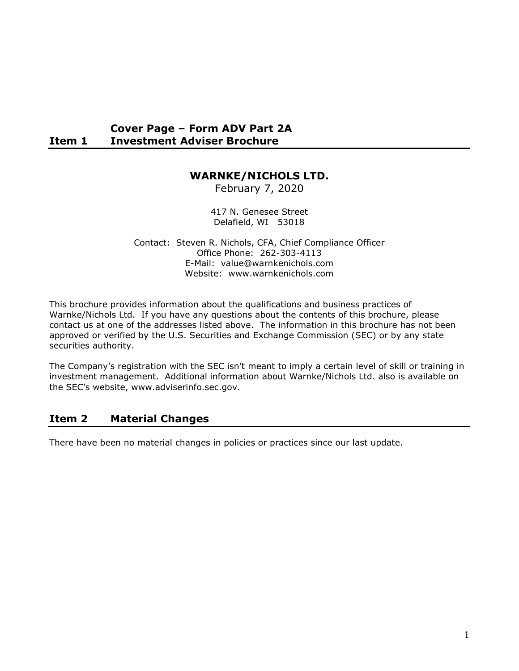#### **Cover Page – Form ADV Part 2A Item 1 Investment Adviser Brochure**

### **WARNKE/NICHOLS LTD.**

February 7, 2020

417 N. Genesee Street Delafield, WI 53018

Contact: Steven R. Nichols, CFA, Chief Compliance Officer Office Phone: 262-303-4113 E-Mail: value@warnkenichols.com Website: www.warnkenichols.com

This brochure provides information about the qualifications and business practices of Warnke/Nichols Ltd. If you have any questions about the contents of this brochure, please contact us at one of the addresses listed above. The information in this brochure has not been approved or verified by the U.S. Securities and Exchange Commission (SEC) or by any state securities authority.

The Company's registration with the SEC isn't meant to imply a certain level of skill or training in investment management. Additional information about Warnke/Nichols Ltd. also is available on the SEC's website, www.adviserinfo.sec.gov.

### **Item 2 Material Changes**

There have been no material changes in policies or practices since our last update.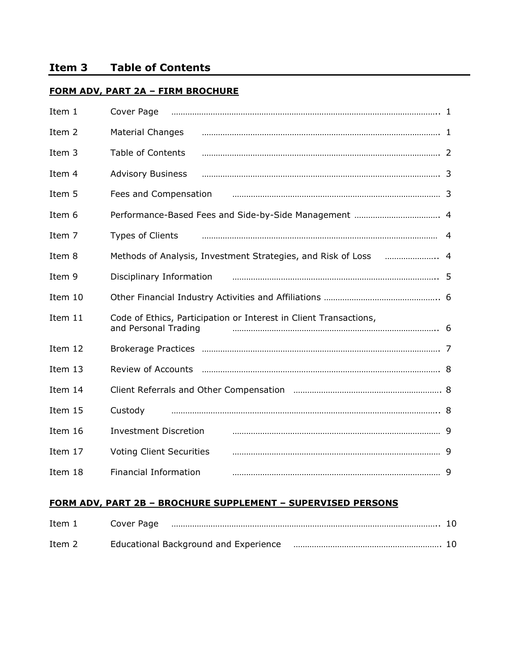#### **FORM ADV, PART 2A – FIRM BROCHURE**

| Item 1  | Cover Page                                                                                |  |
|---------|-------------------------------------------------------------------------------------------|--|
| Item 2  | <b>Material Changes</b>                                                                   |  |
| Item 3  | <b>Table of Contents</b>                                                                  |  |
| Item 4  | <b>Advisory Business</b>                                                                  |  |
| Item 5  | Fees and Compensation                                                                     |  |
| Item 6  |                                                                                           |  |
| Item 7  | Types of Clients                                                                          |  |
| Item 8  | Methods of Analysis, Investment Strategies, and Risk of Loss                              |  |
| Item 9  | Disciplinary Information                                                                  |  |
| Item 10 |                                                                                           |  |
| Item 11 | Code of Ethics, Participation or Interest in Client Transactions,<br>and Personal Trading |  |
| Item 12 |                                                                                           |  |
| Item 13 |                                                                                           |  |
| Item 14 |                                                                                           |  |
| Item 15 | Custody                                                                                   |  |
| Item 16 | <b>Investment Discretion</b>                                                              |  |
| Item 17 | <b>Voting Client Securities</b>                                                           |  |
| Item 18 | <b>Financial Information</b>                                                              |  |

#### **FORM ADV, PART 2B – BROCHURE SUPPLEMENT – SUPERVISED PERSONS**

| Item 1 | Cover Page |                                                                      |  |
|--------|------------|----------------------------------------------------------------------|--|
| Item 2 |            | Educational Background and Experience manufacture manufacture and 10 |  |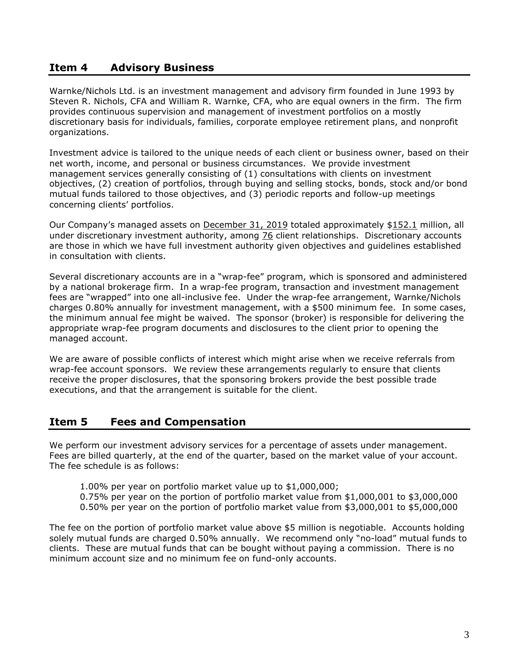#### **Item 4 Advisory Business**

Warnke/Nichols Ltd. is an investment management and advisory firm founded in June 1993 by Steven R. Nichols, CFA and William R. Warnke, CFA, who are equal owners in the firm. The firm provides continuous supervision and management of investment portfolios on a mostly discretionary basis for individuals, families, corporate employee retirement plans, and nonprofit organizations.

Investment advice is tailored to the unique needs of each client or business owner, based on their net worth, income, and personal or business circumstances. We provide investment management services generally consisting of (1) consultations with clients on investment objectives, (2) creation of portfolios, through buying and selling stocks, bonds, stock and/or bond mutual funds tailored to those objectives, and (3) periodic reports and follow-up meetings concerning clients' portfolios.

Our Company's managed assets on December 31, 2019 totaled approximately \$152.1 million, all under discretionary investment authority, among 76 client relationships. Discretionary accounts are those in which we have full investment authority given objectives and guidelines established in consultation with clients.

Several discretionary accounts are in a "wrap-fee" program, which is sponsored and administered by a national brokerage firm. In a wrap-fee program, transaction and investment management fees are "wrapped" into one all-inclusive fee. Under the wrap-fee arrangement, Warnke/Nichols charges 0.80% annually for investment management, with a \$500 minimum fee. In some cases, the minimum annual fee might be waived. The sponsor (broker) is responsible for delivering the appropriate wrap-fee program documents and disclosures to the client prior to opening the managed account.

We are aware of possible conflicts of interest which might arise when we receive referrals from wrap-fee account sponsors. We review these arrangements regularly to ensure that clients receive the proper disclosures, that the sponsoring brokers provide the best possible trade executions, and that the arrangement is suitable for the client.

#### **Item 5 Fees and Compensation**

We perform our investment advisory services for a percentage of assets under management. Fees are billed quarterly, at the end of the quarter, based on the market value of your account. The fee schedule is as follows:

- 1.00% per year on portfolio market value up to \$1,000,000;
- 0.75% per year on the portion of portfolio market value from \$1,000,001 to \$3,000,000
- 0.50% per year on the portion of portfolio market value from \$3,000,001 to \$5,000,000

The fee on the portion of portfolio market value above \$5 million is negotiable. Accounts holding solely mutual funds are charged 0.50% annually. We recommend only "no-load" mutual funds to clients. These are mutual funds that can be bought without paying a commission. There is no minimum account size and no minimum fee on fund-only accounts.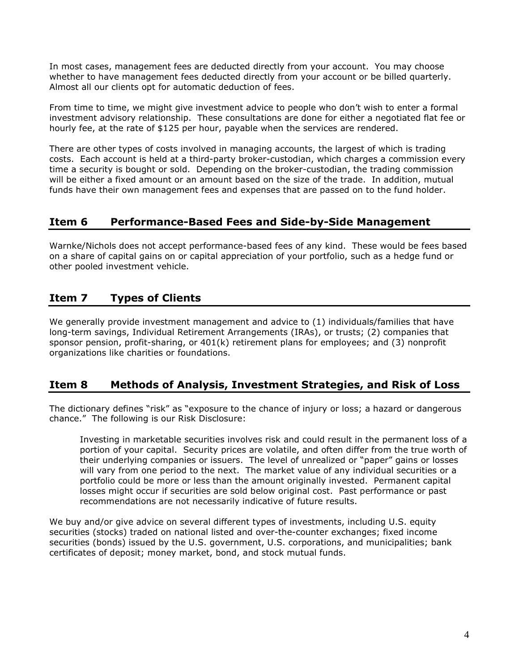In most cases, management fees are deducted directly from your account. You may choose whether to have management fees deducted directly from your account or be billed quarterly. Almost all our clients opt for automatic deduction of fees.

From time to time, we might give investment advice to people who don't wish to enter a formal investment advisory relationship. These consultations are done for either a negotiated flat fee or hourly fee, at the rate of \$125 per hour, payable when the services are rendered.

There are other types of costs involved in managing accounts, the largest of which is trading costs. Each account is held at a third-party broker-custodian, which charges a commission every time a security is bought or sold. Depending on the broker-custodian, the trading commission will be either a fixed amount or an amount based on the size of the trade. In addition, mutual funds have their own management fees and expenses that are passed on to the fund holder.

### **Item 6 Performance-Based Fees and Side-by-Side Management**

Warnke/Nichols does not accept performance-based fees of any kind. These would be fees based on a share of capital gains on or capital appreciation of your portfolio, such as a hedge fund or other pooled investment vehicle.

## **Item 7 Types of Clients**

We generally provide investment management and advice to (1) individuals/families that have long-term savings, Individual Retirement Arrangements (IRAs), or trusts; (2) companies that sponsor pension, profit-sharing, or 401(k) retirement plans for employees; and (3) nonprofit organizations like charities or foundations.

### **Item 8 Methods of Analysis, Investment Strategies, and Risk of Loss**

The dictionary defines "risk" as "exposure to the chance of injury or loss; a hazard or dangerous chance." The following is our Risk Disclosure:

Investing in marketable securities involves risk and could result in the permanent loss of a portion of your capital. Security prices are volatile, and often differ from the true worth of their underlying companies or issuers. The level of unrealized or "paper" gains or losses will vary from one period to the next. The market value of any individual securities or a portfolio could be more or less than the amount originally invested. Permanent capital losses might occur if securities are sold below original cost. Past performance or past recommendations are not necessarily indicative of future results.

We buy and/or give advice on several different types of investments, including U.S. equity securities (stocks) traded on national listed and over-the-counter exchanges; fixed income securities (bonds) issued by the U.S. government, U.S. corporations, and municipalities; bank certificates of deposit; money market, bond, and stock mutual funds.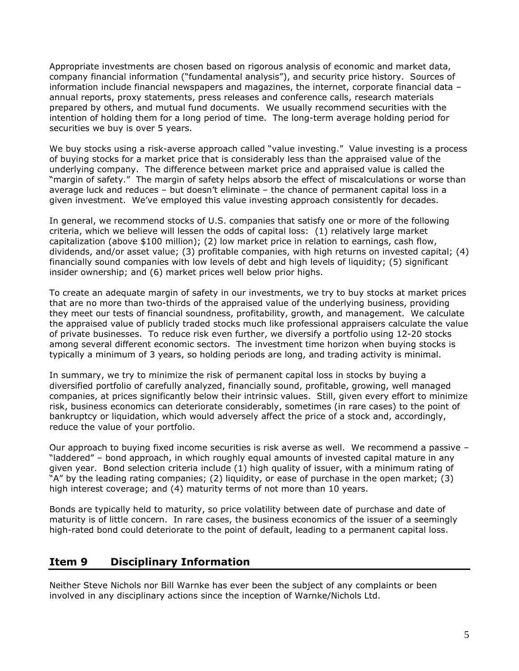Appropriate investments are chosen based on rigorous analysis of economic and market data, company financial information ("fundamental analysis"), and security price history. Sources of information include financial newspapers and magazines, the internet, corporate financial data – annual reports, proxy statements, press releases and conference calls, research materials prepared by others, and mutual fund documents. We usually recommend securities with the intention of holding them for a long period of time. The long-term average holding period for securities we buy is over 5 years.

We buy stocks using a risk-averse approach called "value investing." Value investing is a process of buying stocks for a market price that is considerably less than the appraised value of the underlying company. The difference between market price and appraised value is called the "margin of safety." The margin of safety helps absorb the effect of miscalculations or worse than average luck and reduces – but doesn't eliminate – the chance of permanent capital loss in a given investment. We've employed this value investing approach consistently for decades.

In general, we recommend stocks of U.S. companies that satisfy one or more of the following criteria, which we believe will lessen the odds of capital loss: (1) relatively large market capitalization (above \$100 million); (2) low market price in relation to earnings, cash flow, dividends, and/or asset value; (3) profitable companies, with high returns on invested capital; (4) financially sound companies with low levels of debt and high levels of liquidity; (5) significant insider ownership; and (6) market prices well below prior highs.

To create an adequate margin of safety in our investments, we try to buy stocks at market prices that are no more than two-thirds of the appraised value of the underlying business, providing they meet our tests of financial soundness, profitability, growth, and management. We calculate the appraised value of publicly traded stocks much like professional appraisers calculate the value of private businesses. To reduce risk even further, we diversify a portfolio using 12-20 stocks among several different economic sectors. The investment time horizon when buying stocks is typically a minimum of 3 years, so holding periods are long, and trading activity is minimal.

In summary, we try to minimize the risk of permanent capital loss in stocks by buying a diversified portfolio of carefully analyzed, financially sound, profitable, growing, well managed companies, at prices significantly below their intrinsic values. Still, given every effort to minimize risk, business economics can deteriorate considerably, sometimes (in rare cases) to the point of bankruptcy or liquidation, which would adversely affect the price of a stock and, accordingly, reduce the value of your portfolio.

Our approach to buying fixed income securities is risk averse as well. We recommend a passive – "laddered" – bond approach, in which roughly equal amounts of invested capital mature in any given year. Bond selection criteria include (1) high quality of issuer, with a minimum rating of "A" by the leading rating companies; (2) liquidity, or ease of purchase in the open market; (3) high interest coverage; and (4) maturity terms of not more than 10 years.

Bonds are typically held to maturity, so price volatility between date of purchase and date of maturity is of little concern. In rare cases, the business economics of the issuer of a seemingly high-rated bond could deteriorate to the point of default, leading to a permanent capital loss.

#### **Item 9 Disciplinary Information**

Neither Steve Nichols nor Bill Warnke has ever been the subject of any complaints or been involved in any disciplinary actions since the inception of Warnke/Nichols Ltd.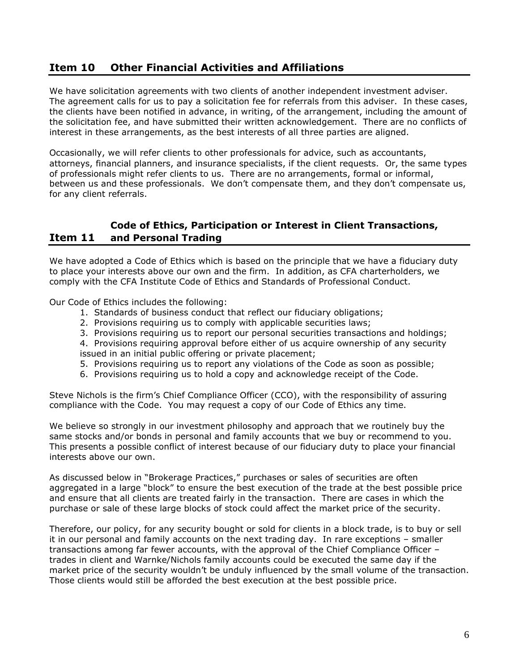### **Item 10 Other Financial Activities and Affiliations**

We have solicitation agreements with two clients of another independent investment adviser. The agreement calls for us to pay a solicitation fee for referrals from this adviser. In these cases, the clients have been notified in advance, in writing, of the arrangement, including the amount of the solicitation fee, and have submitted their written acknowledgement. There are no conflicts of interest in these arrangements, as the best interests of all three parties are aligned.

Occasionally, we will refer clients to other professionals for advice, such as accountants, attorneys, financial planners, and insurance specialists, if the client requests. Or, the same types of professionals might refer clients to us. There are no arrangements, formal or informal, between us and these professionals. We don't compensate them, and they don't compensate us, for any client referrals.

#### **Code of Ethics, Participation or Interest in Client Transactions, Item 11 and Personal Trading**

We have adopted a Code of Ethics which is based on the principle that we have a fiduciary duty to place your interests above our own and the firm. In addition, as CFA charterholders, we comply with the CFA Institute Code of Ethics and Standards of Professional Conduct.

Our Code of Ethics includes the following:

- 1. Standards of business conduct that reflect our fiduciary obligations;
- 2. Provisions requiring us to comply with applicable securities laws;
- 3. Provisions requiring us to report our personal securities transactions and holdings;

4. Provisions requiring approval before either of us acquire ownership of any security issued in an initial public offering or private placement;

- 5. Provisions requiring us to report any violations of the Code as soon as possible;
- 6. Provisions requiring us to hold a copy and acknowledge receipt of the Code.

Steve Nichols is the firm's Chief Compliance Officer (CCO), with the responsibility of assuring compliance with the Code. You may request a copy of our Code of Ethics any time.

We believe so strongly in our investment philosophy and approach that we routinely buy the same stocks and/or bonds in personal and family accounts that we buy or recommend to you. This presents a possible conflict of interest because of our fiduciary duty to place your financial interests above our own.

As discussed below in "Brokerage Practices," purchases or sales of securities are often aggregated in a large "block" to ensure the best execution of the trade at the best possible price and ensure that all clients are treated fairly in the transaction. There are cases in which the purchase or sale of these large blocks of stock could affect the market price of the security.

Therefore, our policy, for any security bought or sold for clients in a block trade, is to buy or sell it in our personal and family accounts on the next trading day. In rare exceptions – smaller transactions among far fewer accounts, with the approval of the Chief Compliance Officer – trades in client and Warnke/Nichols family accounts could be executed the same day if the market price of the security wouldn't be unduly influenced by the small volume of the transaction. Those clients would still be afforded the best execution at the best possible price.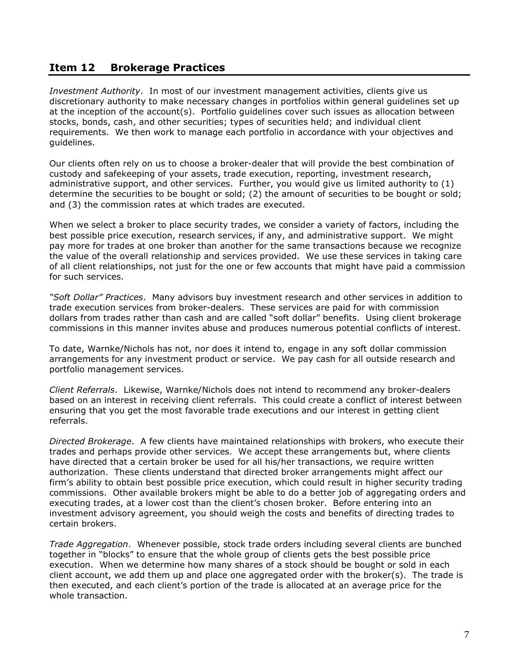#### **Item 12 Brokerage Practices**

*Investment Authority*. In most of our investment management activities, clients give us discretionary authority to make necessary changes in portfolios within general guidelines set up at the inception of the account(s). Portfolio guidelines cover such issues as allocation between stocks, bonds, cash, and other securities; types of securities held; and individual client requirements. We then work to manage each portfolio in accordance with your objectives and guidelines.

Our clients often rely on us to choose a broker-dealer that will provide the best combination of custody and safekeeping of your assets, trade execution, reporting, investment research, administrative support, and other services. Further, you would give us limited authority to (1) determine the securities to be bought or sold; (2) the amount of securities to be bought or sold; and (3) the commission rates at which trades are executed.

When we select a broker to place security trades, we consider a variety of factors, including the best possible price execution, research services, if any, and administrative support. We might pay more for trades at one broker than another for the same transactions because we recognize the value of the overall relationship and services provided. We use these services in taking care of all client relationships, not just for the one or few accounts that might have paid a commission for such services.

*"Soft Dollar" Practices*. Many advisors buy investment research and other services in addition to trade execution services from broker-dealers. These services are paid for with commission dollars from trades rather than cash and are called "soft dollar" benefits. Using client brokerage commissions in this manner invites abuse and produces numerous potential conflicts of interest.

To date, Warnke/Nichols has not, nor does it intend to, engage in any soft dollar commission arrangements for any investment product or service. We pay cash for all outside research and portfolio management services.

*Client Referrals*. Likewise, Warnke/Nichols does not intend to recommend any broker-dealers based on an interest in receiving client referrals. This could create a conflict of interest between ensuring that you get the most favorable trade executions and our interest in getting client referrals.

*Directed Brokerage*. A few clients have maintained relationships with brokers, who execute their trades and perhaps provide other services. We accept these arrangements but, where clients have directed that a certain broker be used for all his/her transactions, we require written authorization. These clients understand that directed broker arrangements might affect our firm's ability to obtain best possible price execution, which could result in higher security trading commissions. Other available brokers might be able to do a better job of aggregating orders and executing trades, at a lower cost than the client's chosen broker. Before entering into an investment advisory agreement, you should weigh the costs and benefits of directing trades to certain brokers.

*Trade Aggregation*. Whenever possible, stock trade orders including several clients are bunched together in "blocks" to ensure that the whole group of clients gets the best possible price execution. When we determine how many shares of a stock should be bought or sold in each client account, we add them up and place one aggregated order with the broker(s). The trade is then executed, and each client's portion of the trade is allocated at an average price for the whole transaction.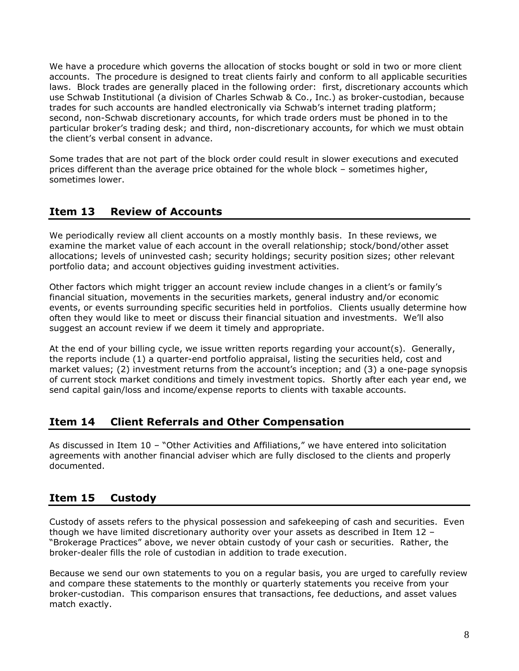We have a procedure which governs the allocation of stocks bought or sold in two or more client accounts. The procedure is designed to treat clients fairly and conform to all applicable securities laws. Block trades are generally placed in the following order: first, discretionary accounts which use Schwab Institutional (a division of Charles Schwab & Co., Inc.) as broker-custodian, because trades for such accounts are handled electronically via Schwab's internet trading platform; second, non-Schwab discretionary accounts, for which trade orders must be phoned in to the particular broker's trading desk; and third, non-discretionary accounts, for which we must obtain the client's verbal consent in advance.

Some trades that are not part of the block order could result in slower executions and executed prices different than the average price obtained for the whole block – sometimes higher, sometimes lower.

# **Item 13 Review of Accounts**

We periodically review all client accounts on a mostly monthly basis. In these reviews, we examine the market value of each account in the overall relationship; stock/bond/other asset allocations; levels of uninvested cash; security holdings; security position sizes; other relevant portfolio data; and account objectives guiding investment activities.

Other factors which might trigger an account review include changes in a client's or family's financial situation, movements in the securities markets, general industry and/or economic events, or events surrounding specific securities held in portfolios. Clients usually determine how often they would like to meet or discuss their financial situation and investments. We'll also suggest an account review if we deem it timely and appropriate.

At the end of your billing cycle, we issue written reports regarding your account(s). Generally, the reports include (1) a quarter-end portfolio appraisal, listing the securities held, cost and market values; (2) investment returns from the account's inception; and (3) a one-page synopsis of current stock market conditions and timely investment topics. Shortly after each year end, we send capital gain/loss and income/expense reports to clients with taxable accounts.

### **Item 14 Client Referrals and Other Compensation**

As discussed in Item 10 – "Other Activities and Affiliations," we have entered into solicitation agreements with another financial adviser which are fully disclosed to the clients and properly documented.

# **Item 15 Custody**

Custody of assets refers to the physical possession and safekeeping of cash and securities. Even though we have limited discretionary authority over your assets as described in Item 12 – "Brokerage Practices" above, we never obtain custody of your cash or securities. Rather, the broker-dealer fills the role of custodian in addition to trade execution.

Because we send our own statements to you on a regular basis, you are urged to carefully review and compare these statements to the monthly or quarterly statements you receive from your broker-custodian. This comparison ensures that transactions, fee deductions, and asset values match exactly.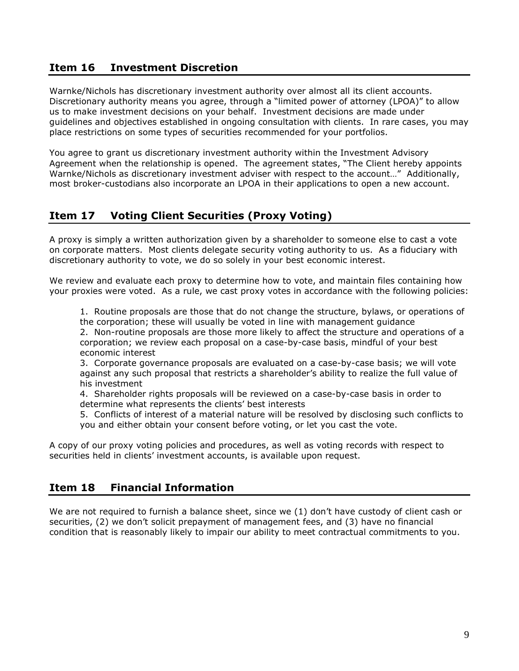### **Item 16 Investment Discretion**

Warnke/Nichols has discretionary investment authority over almost all its client accounts. Discretionary authority means you agree, through a "limited power of attorney (LPOA)" to allow us to make investment decisions on your behalf. Investment decisions are made under guidelines and objectives established in ongoing consultation with clients. In rare cases, you may place restrictions on some types of securities recommended for your portfolios.

You agree to grant us discretionary investment authority within the Investment Advisory Agreement when the relationship is opened. The agreement states, "The Client hereby appoints Warnke/Nichols as discretionary investment adviser with respect to the account…" Additionally, most broker-custodians also incorporate an LPOA in their applications to open a new account.

### **Item 17 Voting Client Securities (Proxy Voting)**

A proxy is simply a written authorization given by a shareholder to someone else to cast a vote on corporate matters. Most clients delegate security voting authority to us. As a fiduciary with discretionary authority to vote, we do so solely in your best economic interest.

We review and evaluate each proxy to determine how to vote, and maintain files containing how your proxies were voted. As a rule, we cast proxy votes in accordance with the following policies:

1. Routine proposals are those that do not change the structure, bylaws, or operations of the corporation; these will usually be voted in line with management guidance

2. Non-routine proposals are those more likely to affect the structure and operations of a corporation; we review each proposal on a case-by-case basis, mindful of your best economic interest

3. Corporate governance proposals are evaluated on a case-by-case basis; we will vote against any such proposal that restricts a shareholder's ability to realize the full value of his investment

4. Shareholder rights proposals will be reviewed on a case-by-case basis in order to determine what represents the clients' best interests

5. Conflicts of interest of a material nature will be resolved by disclosing such conflicts to you and either obtain your consent before voting, or let you cast the vote.

A copy of our proxy voting policies and procedures, as well as voting records with respect to securities held in clients' investment accounts, is available upon request.

### **Item 18 Financial Information**

We are not required to furnish a balance sheet, since we (1) don't have custody of client cash or securities, (2) we don't solicit prepayment of management fees, and (3) have no financial condition that is reasonably likely to impair our ability to meet contractual commitments to you.